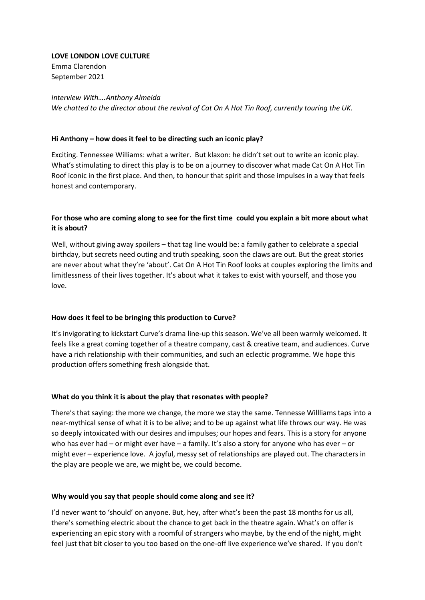**LOVE LONDON LOVE CULTURE** Emma Clarendon

September 2021

### *Interview With….Anthony Almeida*

*We chatted to the director about the revival of Cat On A Hot Tin Roof, currently touring the UK.*

### **Hi Anthony – how does it feel to be directing such an iconic play?**

Exciting. Tennessee Williams: what a writer. But klaxon: he didn't set out to write an iconic play. What's stimulating to direct this play is to be on a journey to discover what made Cat On A Hot Tin Roof iconic in the first place. And then, to honour that spirit and those impulses in a way that feels honest and contemporary.

# **For those who are coming along to see for the first time could you explain a bit more about what it is about?**

Well, without giving away spoilers – that tag line would be: a family gather to celebrate a special birthday, but secrets need outing and truth speaking, soon the claws are out. But the great stories are never about what they're 'about'. Cat On A Hot Tin Roof looks at couples exploring the limits and limitlessness of their lives together. It's about what it takes to exist with yourself, and those you love.

## **How does it feel to be bringing this production to Curve?**

It's invigorating to kickstart Curve's drama line-up this season. We've all been warmly welcomed. It feels like a great coming together of a theatre company, cast & creative team, and audiences. Curve have a rich relationship with their communities, and such an eclectic programme. We hope this production offers something fresh alongside that.

#### **What do you think it is about the play that resonates with people?**

There's that saying: the more we change, the more we stay the same. Tennesse Willliams taps into a near-mythical sense of what it is to be alive; and to be up against what life throws our way. He was so deeply intoxicated with our desires and impulses; our hopes and fears. This is a story for anyone who has ever had – or might ever have – a family. It's also a story for anyone who has ever – or might ever – experience love. A joyful, messy set of relationships are played out. The characters in the play are people we are, we might be, we could become.

#### **Why would you say that people should come along and see it?**

I'd never want to 'should' on anyone. But, hey, after what's been the past 18 months for us all, there's something electric about the chance to get back in the theatre again. What's on offer is experiencing an epic story with a roomful of strangers who maybe, by the end of the night, might feel just that bit closer to you too based on the one-off live experience we've shared. If you don't